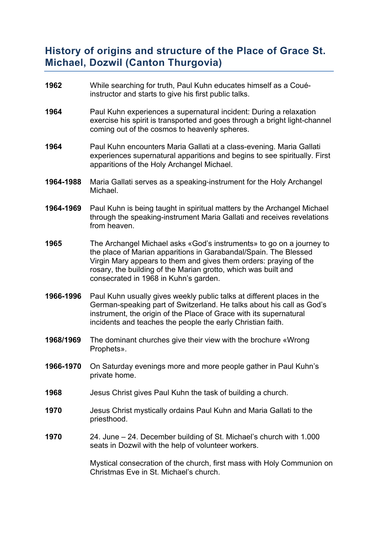## **History of origins and structure of the Place of Grace St. Michael, Dozwil (Canton Thurgovia)**

- **1962** While searching for truth, Paul Kuhn educates himself as a Couéinstructor and starts to give his first public talks.
- **1964** Paul Kuhn experiences a supernatural incident: During a relaxation exercise his spirit is transported and goes through a bright light-channel coming out of the cosmos to heavenly spheres.
- **1964** Paul Kuhn encounters Maria Gallati at a class-evening. Maria Gallati experiences supernatural apparitions and begins to see spiritually. First apparitions of the Holy Archangel Michael.
- **1964-1988** Maria Gallati serves as a speaking-instrument for the Holy Archangel Michael.
- **1964-1969** Paul Kuhn is being taught in spiritual matters by the Archangel Michael through the speaking-instrument Maria Gallati and receives revelations from heaven.
- **1965** The Archangel Michael asks «God's instruments» to go on a journey to the place of Marian apparitions in Garabandal/Spain. The Blessed Virgin Mary appears to them and gives them orders: praying of the rosary, the building of the Marian grotto, which was built and consecrated in 1968 in Kuhn's garden.
- **1966-1996** Paul Kuhn usually gives weekly public talks at different places in the German-speaking part of Switzerland. He talks about his call as God's instrument, the origin of the Place of Grace with its supernatural incidents and teaches the people the early Christian faith.
- **1968/1969** The dominant churches give their view with the brochure «Wrong Prophets».
- **1966-1970** On Saturday evenings more and more people gather in Paul Kuhn's private home.
- **1968** Jesus Christ gives Paul Kuhn the task of building a church.
- **1970** Jesus Christ mystically ordains Paul Kuhn and Maria Gallati to the priesthood.
- **1970** 24. June 24. December building of St. Michael's church with 1.000 seats in Dozwil with the help of volunteer workers.

Mystical consecration of the church, first mass with Holy Communion on Christmas Eve in St. Michael's church.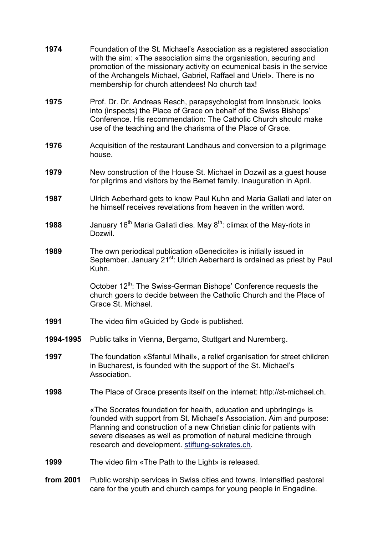| 1974      | Foundation of the St. Michael's Association as a registered association<br>with the aim: «The association aims the organisation, securing and<br>promotion of the missionary activity on ecumenical basis in the service<br>of the Archangels Michael, Gabriel, Raffael and Uriel». There is no<br>membership for church attendees! No church tax! |
|-----------|----------------------------------------------------------------------------------------------------------------------------------------------------------------------------------------------------------------------------------------------------------------------------------------------------------------------------------------------------|
| 1975      | Prof. Dr. Dr. Andreas Resch, parapsychologist from Innsbruck, looks<br>into (inspects) the Place of Grace on behalf of the Swiss Bishops'<br>Conference. His recommendation: The Catholic Church should make<br>use of the teaching and the charisma of the Place of Grace.                                                                        |
| 1976      | Acquisition of the restaurant Landhaus and conversion to a pilgrimage<br>house.                                                                                                                                                                                                                                                                    |
| 1979      | New construction of the House St. Michael in Dozwil as a guest house<br>for pilgrims and visitors by the Bernet family. Inauguration in April.                                                                                                                                                                                                     |
| 1987      | Ulrich Aeberhard gets to know Paul Kuhn and Maria Gallati and later on<br>he himself receives revelations from heaven in the written word.                                                                                                                                                                                                         |
| 1988      | January 16 <sup>th</sup> Maria Gallati dies. May 8 <sup>th</sup> : climax of the May-riots in<br>Dozwil.                                                                                                                                                                                                                                           |
| 1989      | The own periodical publication «Benedicite» is initially issued in<br>September. January 21 <sup>st</sup> : Ulrich Aeberhard is ordained as priest by Paul<br>Kuhn.                                                                                                                                                                                |
|           | October 12 <sup>th</sup> : The Swiss-German Bishops' Conference requests the<br>church goers to decide between the Catholic Church and the Place of<br>Grace St. Michael.                                                                                                                                                                          |
| 1991      | The video film «Guided by God» is published.                                                                                                                                                                                                                                                                                                       |
| 1994-1995 | Public talks in Vienna, Bergamo, Stuttgart and Nuremberg.                                                                                                                                                                                                                                                                                          |
| 1997      | The foundation «Sfantul Mihail», a relief organisation for street children<br>in Bucharest, is founded with the support of the St. Michael's<br>Association.                                                                                                                                                                                       |
| 1998      | The Place of Grace presents itself on the internet: http://st-michael.ch.                                                                                                                                                                                                                                                                          |
|           | «The Socrates foundation for health, education and upbringing» is<br>founded with support from St. Michael's Association. Aim and purpose:<br>Planning and construction of a new Christian clinic for patients with<br>severe diseases as well as promotion of natural medicine through<br>research and development. stiftung-sokrates.ch.         |
| 1999      | The video film «The Path to the Light» is released.                                                                                                                                                                                                                                                                                                |
| from 2001 | Public worship services in Swiss cities and towns. Intensified pastoral<br>care for the youth and church camps for young people in Engadine.                                                                                                                                                                                                       |